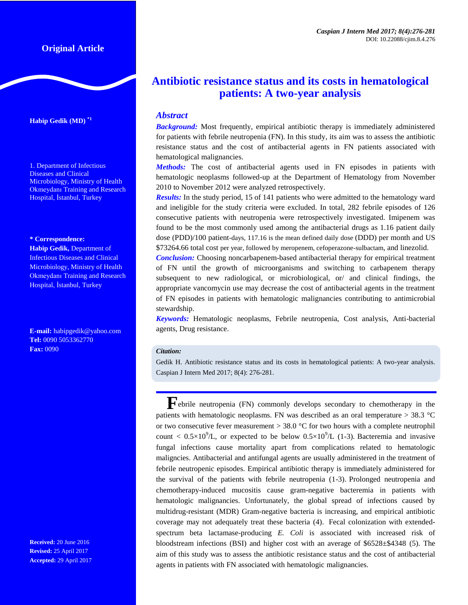# **Original Article**

**Habip Gedik (MD) \*1**

1. Department of Infectious Diseases and Clinical Microbiology, Ministry of Health Okmeydanı Training and Research Hospital, İstanbul, Turkey

#### **\* Correspondence:**

**Habip Gedik,** Department of Infectious Diseases and Clinical Microbiology, Ministry of Health Okmeydanı Training and Research Hospital, İstanbul, Turkey

**E-mail:** habipgedik@yahoo.com **Tel:** 0090 5053362770 **Fax:** 0090

**Received:** 20 June 2016 **Revised:** 25 April 2017 **Accepted:** 29 April 2017

# **Antibiotic resistance status and its costs in hematological patients: A two-year analysis**

## *Abstract*

*Background:* Most frequently, empirical antibiotic therapy is immediately administered for patients with febrile neutropenia (FN). In this study, its aim was to assess the antibiotic resistance status and the cost of antibacterial agents in FN patients associated with hematological malignancies.

*Methods:* The cost of antibacterial agents used in FN episodes in patients with hematologic neoplasms followed-up at the Department of Hematology from November 2010 to November 2012 were analyzed retrospectively.

*Results:* In the study period, 15 of 141 patients who were admitted to the hematology ward and ineligible for the study criteria were excluded. In total, 282 febrile episodes of 126 consecutive patients with neutropenia were retrospectively investigated. Imipenem was found to be the most commonly used among the antibacterial drugs as 1.16 patient daily dose (PDD)/100 patient-days, 117.16 is the mean defined daily dose (DDD) per month and US \$73264.66 total cost per year, followed by meropenem, cefoperazone-sulbactam, and linezolid.

*Conclusion:* Choosing noncarbapenem-based antibacterial therapy for empirical treatment of FN until the growth of microorganisms and switching to carbapenem therapy subsequent to new radiological, or microbiological, or/ and clinical findings, the appropriate vancomycin use may decrease the cost of antibacterial agents in the treatment of FN episodes in patients with hematologic malignancies contributing to antimicrobial stewardship.

*Keywords:* Hematologic neoplasms, Febrile neutropenia, Cost analysis, Anti-bacterial agents, Drug resistance.

#### *Citation:*

Gedik H. Antibiotic resistance status and its costs in hematological patients: A two-year analysis. Caspian J Intern Med 2017; 8(4): 276-281.

**F**ebrile neutropenia (FN) commonly develops secondary to chemotherapy in the patients with hematologic neoplasms. FN was described as an oral temperature  $>$  38.3 °C or two consecutive fever measurement  $>$  38.0 °C for two hours with a complete neutrophil count  $\langle 0.5 \times 10^9 \rangle L$ , or expected to be below  $0.5 \times 10^9$ /L (1-3). Bacteremia and invasive fungal infections cause mortality apart from complications related to hematologic maligncies. Antibacterial and antifungal agents are usually administered in the treatment of febrile neutropenic episodes. Empirical antibiotic therapy is immediately administered for the survival of the patients with febrile neutropenia (1-3). Prolonged neutropenia and chemotherapy-induced mucositis cause gram-negative bacteremia in patients with hematologic malignancies. Unfortunately, the global spread of infections caused by multidrug-resistant (MDR) Gram-negative bacteria is increasing, and empirical antibiotic coverage may not adequately treat these bacteria (4). Fecal colonization with extendedspectrum beta lactamase-producing *E. Coli* is associated with increased risk of bloodstream infections (BSI) and higher cost with an average of \$6528±\$4348 (5). The aim of this study was to assess the antibiotic resistance status and the cost of antibacterial agents in patients with FN associated with hematologic malignancies.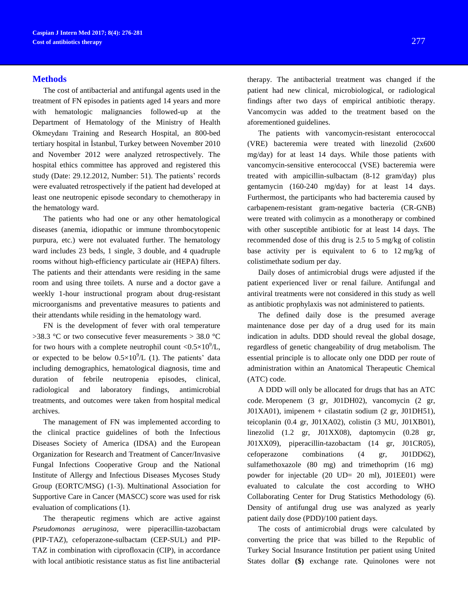## **Methods**

The cost of antibacterial and antifungal agents used in the treatment of FN episodes in patients aged 14 years and more with hematologic malignancies followed-up at the Department of Hematology of the Ministry of Health Okmeydanı Training and Research Hospital, an 800-bed tertiary hospital in İstanbul, Turkey between November 2010 and November 2012 were analyzed retrospectively. The hospital ethics committee has approved and registered this study (Date: 29.12.2012, Number: 51). The patients' records were evaluated retrospectively if the patient had developed at least one neutropenic episode secondary to chemotherapy in the hematology ward.

The patients who had one or any other hematological diseases (anemia, idiopathic or immune thrombocytopenic purpura, etc.) were not evaluated further. The hematology ward includes 23 beds, 1 single, 3 double, and 4 quadruple rooms without high-efficiency particulate air (HEPA) filters. The patients and their attendants were residing in the same room and using three toilets. A nurse and a doctor gave a weekly 1-hour instructional program about drug-resistant microorganisms and preventative measures to patients and their attendants while residing in the hematology ward.

FN is the development of fever with oral temperature >38.3 °C or two consecutive fever measurements > 38.0 °C for two hours with a complete neutrophil count  $\langle 0.5 \times 10^9 \rangle L$ , or expected to be below  $0.5 \times 10^9$ /L (1). The patients' data including demographics, hematological diagnosis, time and duration of febrile neutropenia episodes, clinical, radiological and laboratory findings, antimicrobial treatments, and outcomes were taken from hospital medical archives.

The management of FN was implemented according to the clinical practice guidelines of both the Infectious Diseases Society of America (IDSA) and the European Organization for Research and Treatment of Cancer/Invasive Fungal Infections Cooperative Group and the National Institute of Allergy and Infectious Diseases Mycoses Study Group (EORTC/MSG) (1-3). Multinational Association for Supportive Care in Cancer (MASCC) score was used for risk evaluation of complications (1).

The therapeutic regimens which are active against *Pseudomonas aeruginosa,* were piperacillin-tazobactam (PIP-TAZ), cefoperazone-sulbactam (CEP-SUL) and PIP-TAZ in combination with ciprofloxacin (CIP), in accordance with local antibiotic resistance status as fist line antibacterial

therapy. The antibacterial treatment was changed if the patient had new clinical, microbiological, or radiological findings after two days of empirical antibiotic therapy. Vancomycin was added to the treatment based on the aforementioned guidelines.

The patients with vancomycin-resistant enterococcal (VRE) bacteremia were treated with linezolid (2x600 mg/day) for at least 14 days. While those patients with vancomycin-sensitive enterococcal (VSE) bacteremia were treated with ampicillin-sulbactam (8-12 gram/day) plus gentamycin (160-240 mg/day) for at least 14 days. Furthermost, the participants who had bacteremia caused by carbapenem-resistant gram-negative bacteria (CR-GNB) were treated with colimycin as a monotherapy or combined with other susceptible antibiotic for at least 14 days. The recommended dose of this drug is 2.5 to 5 mg/kg of colistin base activity per is equivalent to 6 to 12 mg/kg of colistimethate sodium per day.

Daily doses of antimicrobial drugs were adjusted if the patient experienced liver or renal failure. Antifungal and antiviral treatments were not considered in this study as well as antibiotic prophylaxis was not administered to patients.

The defined daily dose is the presumed average maintenance dose per day of a drug used for its main indication in adults. DDD should reveal the global dosage, regardless of genetic changeability of drug metabolism. The essential principle is to allocate only one DDD per route of administration within an Anatomical Therapeutic Chemical (ATC) code.

A DDD will only be allocated for drugs that has an ATC code. Meropenem (3 gr, J01DH02), vancomycin (2 gr, J01XA01), imipenem + cilastatin sodium (2 gr, J01DH51), teicoplanin (0.4 gr, J01XA02), colistin (3 MU, J01XB01), linezolid (1.2 gr, J01XX08), daptomycin (0.28 gr, J01XX09), piperacillin-tazobactam (14 gr, J01CR05), cefoperazone combinations (4 gr, J01DD62), [sulfamethoxazole](http://www.whocc.no/atc_ddd_index/?code=J01EE01&showdescription=yes) (80 mg) and trimethoprim (16 mg) powder for injectable (20 UD= 20 ml), J01EE01) were evaluated to calculate the cost according to WHO Collaborating Center for Drug Statistics Methodology (6). Density of antifungal drug use was analyzed as yearly patient daily dose (PDD)/100 patient days.

The costs of antimicrobial drugs were calculated by converting the price that was billed to the Republic of Turkey Social Insurance Institution per patient using United States dollar **(\$)** exchange rate. Quinolones were not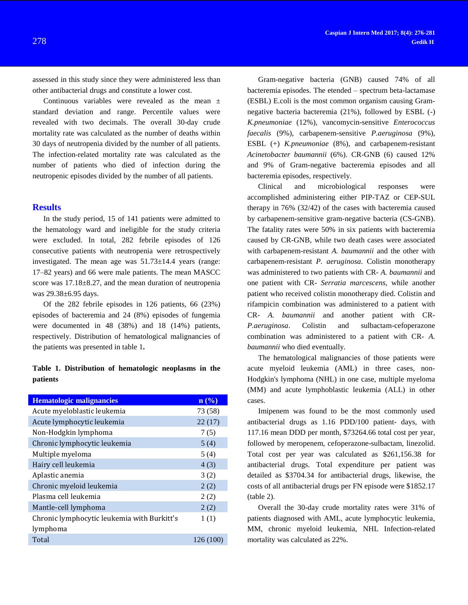assessed in this study since they were administered less than other antibacterial drugs and constitute a lower cost.

Continuous variables were revealed as the mean  $\pm$ standard deviation and range. Percentile values were revealed with two decimals. The overall 30-day crude mortality rate was calculated as the number of deaths within 30 days of neutropenia divided by the number of all patients. The infection-related mortality rate was calculated as the number of patients who died of infection during the neutropenic episodes divided by the number of all patients.

#### **Results**

In the study period, 15 of 141 patients were admitted to the hematology ward and ineligible for the study criteria were excluded. In total, 282 febrile episodes of 126 consecutive patients with neutropenia were retrospectively investigated. The mean age was  $51.73 \pm 14.4$  years (range: 17–82 years) and 66 were male patients. The mean MASCC score was  $17.18 \pm 8.27$ , and the mean duration of neutropenia was 29.38±6.95 days.

Of the 282 febrile episodes in 126 patients, 66 (23%) episodes of bacteremia and 24 (8%) episodes of fungemia were documented in 48 (38%) and 18 (14%) patients, respectively. Distribution of hematological malignancies of the patients was presented in table 1**.**

## **Table 1. Distribution of hematologic neoplasms in the patients**

| <b>Hematologic malignancies</b>             | $\mathbf{n}(\%)$ |
|---------------------------------------------|------------------|
| Acute myeloblastic leukemia                 | 73 (58)          |
| Acute lymphocytic leukemia                  | 22(17)           |
| Non-Hodgkin lymphoma                        | 7(5)             |
| Chronic lymphocytic leukemia                | 5(4)             |
| Multiple myeloma                            | 5(4)             |
| Hairy cell leukemia                         | 4(3)             |
| Aplastic anemia                             | 3(2)             |
| Chronic myeloid leukemia                    | 2(2)             |
| Plasma cell leukemia                        | 2(2)             |
| Mantle-cell lymphoma                        | 2(2)             |
| Chronic lymphocytic leukemia with Burkitt's | 1(1)             |
| lymphoma                                    |                  |
| Total                                       | 126 (100         |

Gram-negative bacteria (GNB) caused 74% of all bacteremia episodes. The etended – spectrum beta-lactamase (ESBL) E.coli is the most common organism causing Gramnegative bacteria bacteremia (21%), followed by ESBL (-) *K.pneumoniae* (12%), vancomycin-sensitive *Enterococcus faecalis* (9%), carbapenem-sensitive *P.aeruginosa* (9%), ESBL (+) *K.pneumoniae* (8%), and carbapenem-resistant *Acinetobacter baumannii* (6%). CR-GNB (6) caused 12% and 9% of Gram-negative bacteremia episodes and all bacteremia episodes, respectively.

Clinical and microbiological responses were accomplished administering either PIP-TAZ or CEP-SUL therapy in 76% (32/42) of the cases with bacteremia caused by carbapenem-sensitive gram-negative bacteria (CS-GNB). The fatality rates were 50% in six patients with bacteremia caused by CR-GNB, while two death cases were associated with carbapenem-resistant *A. baumannii* and the other with carbapenem-resistant *P. aeruginosa*. Colistin monotherapy was administered to two patients with CR- *A. baumannii* and one patient with CR- *Serratia marcescens,* while another patient who received colistin monotherapy died. Colistin and rifampicin combination was administered to a patient with CR- *A. baumannii* and another patient with CR-*P.aeruginosa*. Colistin and sulbactam-cefoperazone combination was administered to a patient with CR- *A. baumannii* who died eventually*.*

The hematological malignancies of those patients were acute myeloid leukemia (AML) in three cases, non-Hodgkin's lymphoma (NHL) in one case, multiple myeloma (MM) and acute lymphoblastic leukemia (ALL) in other cases.

Imipenem was found to be the most commonly used antibacterial drugs as 1.16 PDD/100 patient- days, with 117.16 mean DDD per month, \$73264.66 total cost per year, followed by meropenem, cefoperazone-sulbactam, linezolid. Total cost per year was calculated as \$261,156.38 for antibacterial drugs. Total expenditure per patient was detailed as \$3704.34 for antibacterial drugs, likewise, the costs of all antibacterial drugs per FN episode were \$1852.17 (table 2).

Overall the 30-day crude mortality rates were 31% of patients diagnosed with AML, acute lymphocytic leukemia, MM, chronic myeloid leukemia, NHL Infection-related mortality was calculated as 22%.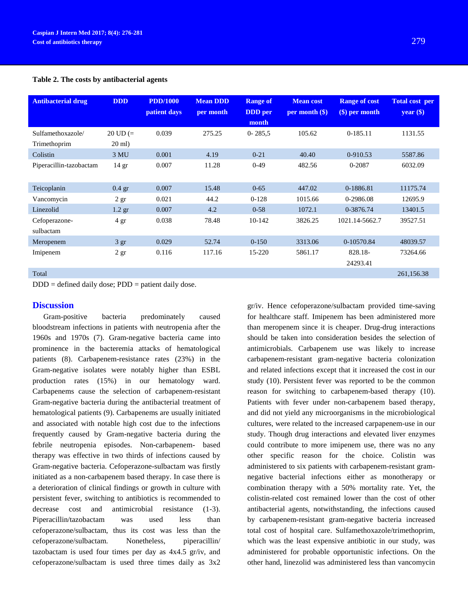#### **Table 2. The costs by antibacterial agents**

| <b>Antibacterial drug</b>  | <b>DDD</b>         | <b>PDD/1000</b><br>patient days | <b>Mean DDD</b><br>per month | <b>Range of</b><br><b>DDD</b> per<br>month | <b>Mean cost</b><br>$per$ month $$)$ | <b>Range of cost</b><br>$(\$)$ per month | <b>Total cost per</b><br>$year$ (\$) |
|----------------------------|--------------------|---------------------------------|------------------------------|--------------------------------------------|--------------------------------------|------------------------------------------|--------------------------------------|
| Sulfamethoxazole/          | $20 \text{ UD} (=$ | 0.039                           | 275.25                       | $0 - 285.5$                                | 105.62                               | $0-185.11$                               | 1131.55                              |
| Trimethoprim               | $20$ ml)           |                                 |                              |                                            |                                      |                                          |                                      |
| Colistin                   | 3 MU               | 0.001                           | 4.19                         | $0 - 21$                                   | 40.40                                | 0-910.53                                 | 5587.86                              |
| Piperacillin-tazobactam    | 14 gr              | 0.007                           | 11.28                        | $0-49$                                     | 482.56                               | 0-2087                                   | 6032.09                              |
| Teicoplanin                | $0.4$ gr           | 0.007                           | 15.48                        | $0 - 65$                                   | 447.02                               | 0-1886.81                                | 11175.74                             |
| Vancomycin                 | 2gr                | 0.021                           | 44.2                         | $0-128$                                    | 1015.66                              | 0-2986.08                                | 12695.9                              |
| Linezolid                  | $1.2$ gr           | 0.007                           | 4.2                          | $0 - 58$                                   | 1072.1                               | 0-3876.74                                | 13401.5                              |
| Cefoperazone-<br>sulbactam | $4 \text{ gr}$     | 0.038                           | 78.48                        | 10-142                                     | 3826.25                              | 1021.14-5662.7                           | 39527.51                             |
| Meropenem                  | 3 gr               | 0.029                           | 52.74                        | $0-150$                                    | 3313.06                              | 0-10570.84                               | 48039.57                             |
| Imipenem                   | 2 <sub>gr</sub>    | 0.116                           | 117.16                       | 15-220                                     | 5861.17                              | 828.18-                                  | 73264.66                             |
|                            |                    |                                 |                              |                                            |                                      | 24293.41                                 |                                      |
| Total                      |                    |                                 |                              |                                            |                                      |                                          | 261,156.38                           |

 $DDD =$  defined daily dose;  $PDD =$  patient daily dose.

## **Discussion**

Gram-positive bacteria predominately caused bloodstream infections in patients with neutropenia after the 1960s and 1970s (7). Gram-negative bacteria came into prominence in the bacteremia attacks of hematological patients (8). Carbapenem-resistance rates (23%) in the Gram-negative isolates were notably higher than ESBL production rates (15%) in our hematology ward. Carbapenems cause the selection of carbapenem-resistant Gram-negative bacteria during the antibacterial treatment of hematological patients (9). Carbapenems are usually initiated and associated with notable high cost due to the infections frequently caused by Gram-negative bacteria during the febrile neutropenia episodes. Non-carbapenem- based therapy was effective in two thirds of infections caused by Gram-negative bacteria. Cefoperazone-sulbactam was firstly initiated as a non-carbapenem based therapy. In case there is a deterioration of clinical findings or growth in culture with persistent fever, switching to antibiotics is recommended to decrease cost and antimicrobial resistance (1-3). Piperacillin/tazobactam was used less than cefoperazone/sulbactam, thus its cost was less than the cefoperazone/sulbactam. Nonetheless, piperacillin/ tazobactam is used four times per day as 4x4.5 gr/iv, and cefoperazone/sulbactam is used three times daily as 3x2

gr/iv. Hence cefoperazone/sulbactam provided time-saving for healthcare staff. Imipenem has been administered more than meropenem since it is cheaper. Drug-drug interactions should be taken into consideration besides the selection of antimicrobials. Carbapenem use was likely to increase carbapenem-resistant gram-negative bacteria colonization and related infections except that it increased the cost in our study (10). Persistent fever was reported to be the common reason for switching to carbapenem-based therapy (10). Patients with fever under non-carbapenem based therapy, and did not yield any microorganisms in the microbiological cultures, were related to the increased carpapenem-use in our study. Though drug interactions and elevated liver enzymes could contribute to more imipenem use, there was no any other specific reason for the choice. Colistin was administered to six patients with carbapenem-resistant gramnegative bacterial infections either as monotherapy or combination therapy with a 50% mortality rate. Yet, the colistin-related cost remained lower than the cost of other antibacterial agents, notwithstanding, the infections caused by carbapenem-resistant gram-negative bacteria increased total cost of hospital care. Sulfamethoxazole/trimethoprim, which was the least expensive antibiotic in our study, was administered for probable opportunistic infections. On the other hand, linezolid was administered less than vancomycin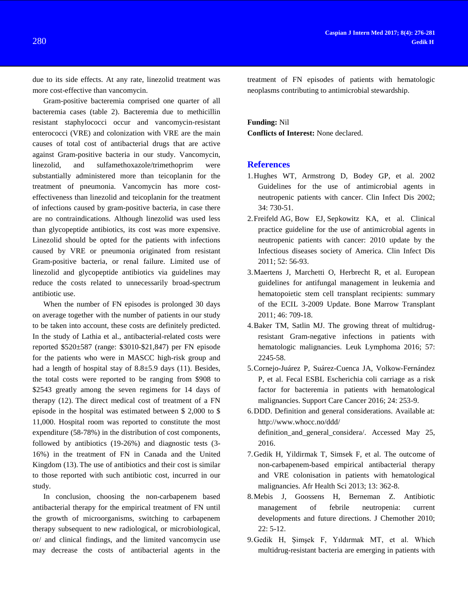due to its side effects. At any rate, linezolid treatment was more cost-effective than vancomycin.

Gram-positive bacteremia comprised one quarter of all bacteremia cases (table 2). Bacteremia due to methicillin resistant staphylococci occur and vancomycin-resistant enterococci (VRE) and colonization with VRE are the main causes of total cost of antibacterial drugs that are active against Gram-positive bacteria in our study. Vancomycin, linezolid, and sulfamethoxazole/trimethoprim were substantially administered more than teicoplanin for the treatment of pneumonia. Vancomycin has more costeffectiveness than linezolid and teicoplanin for the treatment of infections caused by gram-positive bacteria, in case there are no contraindications. Although linezolid was used less than glycopeptide antibiotics, its cost was more expensive. Linezolid should be opted for the patients with infections caused by VRE or pneumonia originated from resistant Gram-positive bacteria, or renal failure. Limited use of linezolid and glycopeptide antibiotics via guidelines may reduce the costs related to unnecessarily broad-spectrum antibiotic use.

When the number of FN episodes is prolonged 30 days on average together with the number of patients in our study to be taken into account, these costs are definitely predicted. In the study of Lathia et al., antibacterial-related costs were reported \$520±587 (range: \$3010-\$21,847) per FN episode for the patients who were in MASCC high-risk group and had a length of hospital stay of 8.8 $\pm$ 5.9 days (11). Besides, the total costs were reported to be ranging from \$908 to \$2543 greatly among the seven regimens for 14 days of therapy (12). The direct medical cost of treatment of a FN episode in the hospital was estimated between \$ 2,000 to \$ 11,000. Hospital room was reported to constitute the most expenditure (58-78%) in the distribution of cost components, followed by antibiotics (19-26%) and diagnostic tests (3- 16%) in the treatment of FN in Canada and the United Kingdom (13). The use of antibiotics and their cost is similar to those reported with such antibiotic cost, incurred in our study.

In conclusion, choosing the non-carbapenem based antibacterial therapy for the empirical treatment of FN until the growth of microorganisms, switching to carbapenem therapy subsequent to new radiological, or microbiological, or/ and clinical findings, and the limited vancomycin use may decrease the costs of antibacterial agents in the

treatment of FN episodes of patients with hematologic neoplasms contributing to antimicrobial stewardship.

## **Funding:** Nil

**Conflicts of Interest:** None declared.

## **References**

- 1.Hughes WT, Armstrong D, Bodey GP, et al. 2002 Guidelines for the use of antimicrobial agents in neutropenic patients with cancer. Clin Infect Dis 2002; 34: 730-51.
- 2[.Freifeld](http://www.ncbi.nlm.nih.gov/pubmed?term=%252522Freifeld%252520AG%252522%25255BAuthor%25255D) AG, [Bow EJ,](http://www.ncbi.nlm.nih.gov/pubmed?term=%252522Bow%252520EJ%252522%25255BAuthor%25255D) [Sepkowitz KA,](http://www.ncbi.nlm.nih.gov/pubmed?term=%252522sepkowitz%252520ka%252522%25255bauthor%25255d) et al. Clinical practice guideline for the use of antimicrobial agents in neutropenic patients with cancer: 2010 update by the Infectious diseases society of America. [Clin Infect Dis](http://www.ncbi.nlm.nih.gov/pubmed/21258094) 2011; 52: 56-93.
- 3.Maertens J, Marchetti O, Herbrecht R, et al. European guidelines for antifungal management in leukemia and hematopoietic stem cell transplant recipients: summary of the ECIL 3-2009 Update. Bone Marrow Transplant 2011; 46: 709-18.
- 4.Baker TM, Satlin MJ. The growing threat of multidrugresistant Gram-negative infections in patients with hematologic malignancies. Leuk Lymphoma 2016; 57: 2245-58.
- 5[.Cornejo-Juárez P,](http://www.ncbi.nlm.nih.gov/pubmed/?term=Cornejo-Ju%C3%A1rez%20P%5BAuthor%5D&cauthor=true&cauthor_uid=26014616) [Suárez-Cuenca JA,](http://www.ncbi.nlm.nih.gov/pubmed/?term=Su%C3%A1rez-Cuenca%20JA%5BAuthor%5D&cauthor=true&cauthor_uid=26014616) [Volkow-Fernández](http://www.ncbi.nlm.nih.gov/pubmed/?term=Volkow-Fern%C3%A1ndez%20P%5BAuthor%5D&cauthor=true&cauthor_uid=26014616)  [P,](http://www.ncbi.nlm.nih.gov/pubmed/?term=Volkow-Fern%C3%A1ndez%20P%5BAuthor%5D&cauthor=true&cauthor_uid=26014616) et al. Fecal ESBL Escherichia coli carriage as a risk factor for bacteremia in patients with hematological malignancies. Support Care Cancer 2016; 24: 253-9.
- 6.DDD. Definition and general considerations. Available at: [http://www.whocc.no/ddd/](http://www.whocc.no/ddd/%20definition_and_general_considera/)  [definition\\_and\\_general\\_considera/.](http://www.whocc.no/ddd/%20definition_and_general_considera/) Accessed May 25, 2016.
- 7.Gedik H, Yildirmak T, Simsek F, et al. The outcome of non-carbapenem-based empirical antibacterial therapy and VRE colonisation in patients with hematological malignancies. Afr Health Sci 2013; 13: 362-8.
- 8.Mebis J, Goossens H, Berneman Z. Antibiotic management of febrile neutropenia: current developments and future directions. J Chemother 2010; 22: 5-12.
- 9.Gedik H, Şimşek F, Yıldırmak MT, et al. Which multidrug-resistant bacteria are emerging in patients with